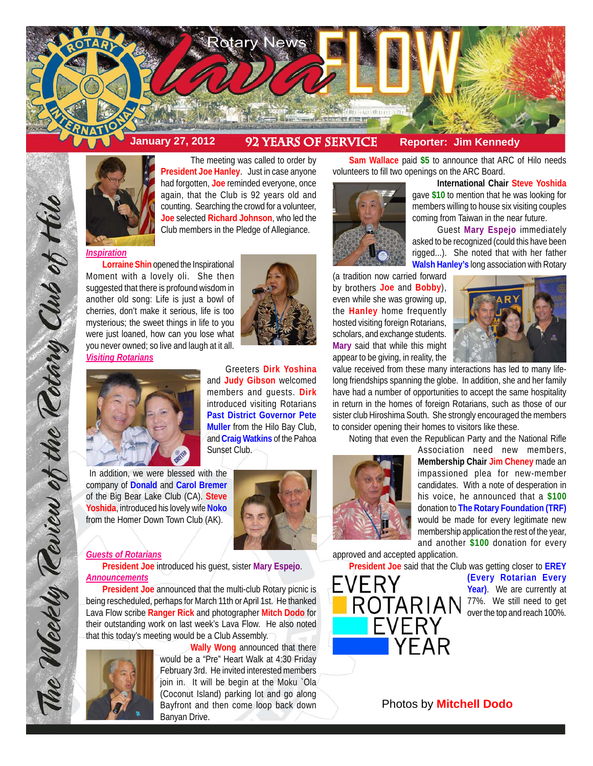



The meeting was called to order by **President Joe Hanley**. Just in case anyone had forgotten, **Joe** reminded everyone, once again, that the Club is 92 years old and counting. Searching the crowd for a volunteer, **Joe** selected **Richard Johnson**, who led the Club members in the Pledge of Allegiance.

# *Inspiration*

**Lorraine Shin** opened the Inspirational Moment with a lovely oli. She then suggested that there is profound wisdom in another old song: Life is just a bowl of cherries, don't make it serious, life is too mysterious; the sweet things in life to you were just loaned, how can you lose what you never owned; so live and laugh at it all. *Visiting Rotarians*





Greeters **Dirk Yoshina** and **Judy Gibson** welcomed members and guests. **Dirk** introduced visiting Rotarians **Past District Governor Pete Muller** from the Hilo Bay Club, and **Craig Watkins** of the Pahoa Sunset Club.

 In addition, we were blessed with the company of **Donald** and **Carol Bremer** of the Big Bear Lake Club (CA). **Steve Yoshida**, introduced his lovely wife **Noko** from the Homer Down Town Club (AK).



# *Guests of Rotarians*

The Weekly Teview of the Tetary Club of Hilo

**President Joe** introduced his guest, sister **Mary Espejo**. *Announcements*

**President Joe** announced that the multi-club Rotary picnic is being rescheduled, perhaps for March 11th or April 1st. He thanked Lava Flow scribe **Ranger Rick** and photographer **Mitch Dodo** for their outstanding work on last week's Lava Flow. He also noted that this today's meeting would be a Club Assembly.



**Wally Wong** announced that there would be a "Pre" Heart Walk at 4:30 Friday February 3rd. He invited interested members join in. It will be begin at the Moku `Ola (Coconut Island) parking lot and go along Bayfront and then come loop back down Banyan Drive.

**Sam Wallace** paid **\$5** to announce that ARC of Hilo needs volunteers to fill two openings on the ARC Board.



**Walsh Hanley's** long association with Rotary (a tradition now carried forward by brothers **Joe** and **Bobby**), even while she was growing up, the **Hanley** home frequently hosted visiting foreign Rotarians, scholars, and exchange students. **Mary** said that while this might appear to be giving, in reality, the



**International Chair Steve Yoshida** gave **\$10** to mention that he was looking for members willing to house six visiting couples coming from Taiwan in the near future.

Guest **Mary Espejo** immediately asked to be recognized (could this have been rigged...). She noted that with her father

value received from these many interactions has led to many lifelong friendships spanning the globe. In addition, she and her family have had a number of opportunities to accept the same hospitality in return in the homes of foreign Rotarians, such as those of our sister club Hiroshima South. She strongly encouraged the members to consider opening their homes to visitors like these.

Noting that even the Republican Party and the National Rifle



Association need new members, **Membership Chair Jim Cheney** made an impassioned plea for new-member candidates. With a note of desperation in his voice, he announced that a **\$100** donation to **The Rotary Foundation (TRF)** would be made for every legitimate new membership application the rest of the year, and another **\$100** donation for every

approved and accepted application.

**President Joe** said that the Club was getting closer to **EREY**

**(Every Rotarian Every Year)**. We are currently at 77%. We still need to get over the top and reach 100%.

# Photos by **Mitchell Dodo**